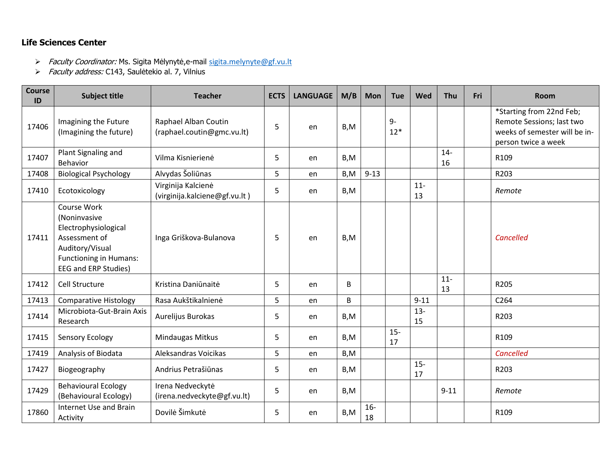## **Life Sciences Center**

- > Faculty Coordinator: Ms. Sigita Mėlynytė,e-mail [sigita.melynyte@gf.vu.lt](mailto:sigita.melynyte@gf.vu.lt)
- > Faculty address: C143, Saulėtekio al. 7, Vilnius

| Course<br>ID | <b>Subject title</b>                                                                                                                                    | <b>Teacher</b>                                      | <b>ECTS</b> | <b>LANGUAGE</b> | M/B  | <b>Mon</b>  | <b>Tue</b>    | Wed          | Thu          | Fri | <b>Room</b>                                                                                                   |
|--------------|---------------------------------------------------------------------------------------------------------------------------------------------------------|-----------------------------------------------------|-------------|-----------------|------|-------------|---------------|--------------|--------------|-----|---------------------------------------------------------------------------------------------------------------|
| 17406        | Imagining the Future<br>(Imagining the future)                                                                                                          | Raphael Alban Coutin<br>(raphael.coutin@gmc.vu.lt)  | 5           | en              | B, M |             | $9-$<br>$12*$ |              |              |     | *Starting from 22nd Feb;<br>Remote Sessions; last two<br>weeks of semester will be in-<br>person twice a week |
| 17407        | Plant Signaling and<br><b>Behavior</b>                                                                                                                  | Vilma Kisnierienė                                   | 5           | en              | B,M  |             |               |              | $14 -$<br>16 |     | R109                                                                                                          |
| 17408        | <b>Biological Psychology</b>                                                                                                                            | Alvydas Šoliūnas                                    | 5           | en              | B, M | $9 - 13$    |               |              |              |     | R203                                                                                                          |
| 17410        | Ecotoxicology                                                                                                                                           | Virginija Kalcienė<br>(virginija.kalciene@gf.vu.lt) | 5           | en              | B,M  |             |               | $11-$<br>13  |              |     | Remote                                                                                                        |
| 17411        | Course Work<br>(Noninvasive<br>Electrophysiological<br>Assessment of<br>Auditory/Visual<br><b>Functioning in Humans:</b><br><b>EEG and ERP Studies)</b> | Inga Griškova-Bulanova                              | 5           | en              | B,M  |             |               |              |              |     | Cancelled                                                                                                     |
| 17412        | Cell Structure                                                                                                                                          | Kristina Daniūnaitė                                 | 5           | en              | B    |             |               |              | $11-$<br>13  |     | R205                                                                                                          |
| 17413        | <b>Comparative Histology</b>                                                                                                                            | Rasa Aukštikalnienė                                 | 5           | en              | B    |             |               | $9 - 11$     |              |     | C <sub>264</sub>                                                                                              |
| 17414        | Microbiota-Gut-Brain Axis<br>Research                                                                                                                   | Aurelijus Burokas                                   | 5           | en              | B,M  |             |               | $13 -$<br>15 |              |     | R203                                                                                                          |
| 17415        | <b>Sensory Ecology</b>                                                                                                                                  | Mindaugas Mitkus                                    | 5           | en              | B,M  |             | $15-$<br>17   |              |              |     | R109                                                                                                          |
| 17419        | Analysis of Biodata                                                                                                                                     | Aleksandras Voicikas                                | 5           | en              | B,M  |             |               |              |              |     | Cancelled                                                                                                     |
| 17427        | Biogeography                                                                                                                                            | Andrius Petrašiūnas                                 | 5           | en              | B,M  |             |               | $15 -$<br>17 |              |     | R203                                                                                                          |
| 17429        | <b>Behavioural Ecology</b><br>(Behavioural Ecology)                                                                                                     | Irena Nedveckytė<br>(irena.nedveckyte@gf.vu.lt)     | 5           | en              | B,M  |             |               |              | $9 - 11$     |     | Remote                                                                                                        |
| 17860        | Internet Use and Brain<br>Activity                                                                                                                      | Dovilė Šimkutė                                      | 5           | en              | B, M | $16-$<br>18 |               |              |              |     | R109                                                                                                          |